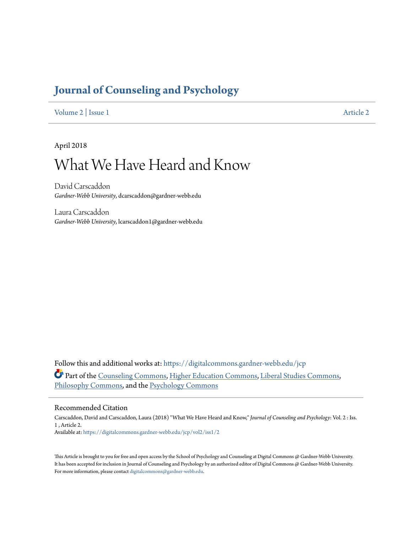# **[Journal of Counseling and Psychology](https://digitalcommons.gardner-webb.edu/jcp?utm_source=digitalcommons.gardner-webb.edu%2Fjcp%2Fvol2%2Fiss1%2F2&utm_medium=PDF&utm_campaign=PDFCoverPages)**

[Volume 2](https://digitalcommons.gardner-webb.edu/jcp/vol2?utm_source=digitalcommons.gardner-webb.edu%2Fjcp%2Fvol2%2Fiss1%2F2&utm_medium=PDF&utm_campaign=PDFCoverPages) | [Issue 1](https://digitalcommons.gardner-webb.edu/jcp/vol2/iss1?utm_source=digitalcommons.gardner-webb.edu%2Fjcp%2Fvol2%2Fiss1%2F2&utm_medium=PDF&utm_campaign=PDFCoverPages) [Article 2](https://digitalcommons.gardner-webb.edu/jcp/vol2/iss1/2?utm_source=digitalcommons.gardner-webb.edu%2Fjcp%2Fvol2%2Fiss1%2F2&utm_medium=PDF&utm_campaign=PDFCoverPages)

April 2018

# What We Have Heard and Know

David Carscaddon *Gardner-Webb University*, dcarscaddon@gardner-webb.edu

Laura Carscaddon *Gardner-Webb University*, lcarscaddon1@gardner-webb.edu

Follow this and additional works at: [https://digitalcommons.gardner-webb.edu/jcp](https://digitalcommons.gardner-webb.edu/jcp?utm_source=digitalcommons.gardner-webb.edu%2Fjcp%2Fvol2%2Fiss1%2F2&utm_medium=PDF&utm_campaign=PDFCoverPages) Part of the [Counseling Commons](http://network.bepress.com/hgg/discipline/1268?utm_source=digitalcommons.gardner-webb.edu%2Fjcp%2Fvol2%2Fiss1%2F2&utm_medium=PDF&utm_campaign=PDFCoverPages), [Higher Education Commons](http://network.bepress.com/hgg/discipline/1245?utm_source=digitalcommons.gardner-webb.edu%2Fjcp%2Fvol2%2Fiss1%2F2&utm_medium=PDF&utm_campaign=PDFCoverPages), [Liberal Studies Commons](http://network.bepress.com/hgg/discipline/1042?utm_source=digitalcommons.gardner-webb.edu%2Fjcp%2Fvol2%2Fiss1%2F2&utm_medium=PDF&utm_campaign=PDFCoverPages), [Philosophy Commons,](http://network.bepress.com/hgg/discipline/525?utm_source=digitalcommons.gardner-webb.edu%2Fjcp%2Fvol2%2Fiss1%2F2&utm_medium=PDF&utm_campaign=PDFCoverPages) and the [Psychology Commons](http://network.bepress.com/hgg/discipline/404?utm_source=digitalcommons.gardner-webb.edu%2Fjcp%2Fvol2%2Fiss1%2F2&utm_medium=PDF&utm_campaign=PDFCoverPages)

#### Recommended Citation

Carscaddon, David and Carscaddon, Laura (2018) "What We Have Heard and Know," *Journal of Counseling and Psychology*: Vol. 2 : Iss. 1 , Article 2. Available at: [https://digitalcommons.gardner-webb.edu/jcp/vol2/iss1/2](https://digitalcommons.gardner-webb.edu/jcp/vol2/iss1/2?utm_source=digitalcommons.gardner-webb.edu%2Fjcp%2Fvol2%2Fiss1%2F2&utm_medium=PDF&utm_campaign=PDFCoverPages)

This Article is brought to you for free and open access by the School of Psychology and Counseling at Digital Commons @ Gardner-Webb University. It has been accepted for inclusion in Journal of Counseling and Psychology by an authorized editor of Digital Commons @ Gardner-Webb University. For more information, please contact [digitalcommons@gardner-webb.edu.](mailto:digitalcommons@gardner-webb.edu)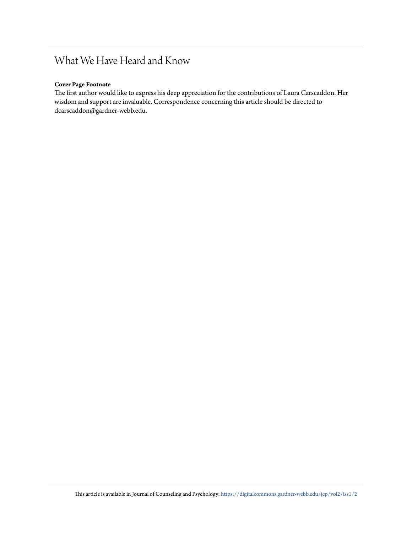# What We Have Heard and Know

#### **Cover Page Footnote**

The first author would like to express his deep appreciation for the contributions of Laura Carscaddon. Her wisdom and support are invaluable. Correspondence concerning this article should be directed to dcarscaddon@gardner-webb.edu.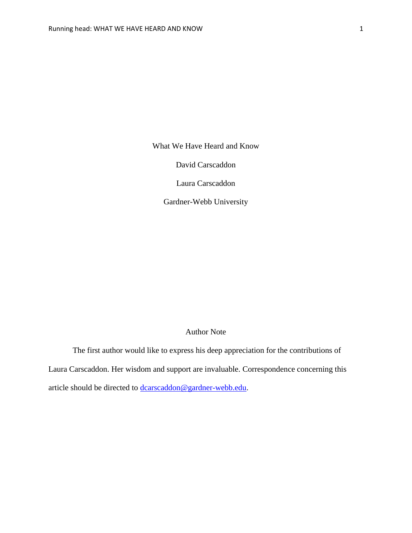What We Have Heard and Know

David Carscaddon

Laura Carscaddon

Gardner-Webb University

## Author Note

The first author would like to express his deep appreciation for the contributions of Laura Carscaddon. Her wisdom and support are invaluable. Correspondence concerning this article should be directed to **dcarscaddon@gardner-webb.edu**.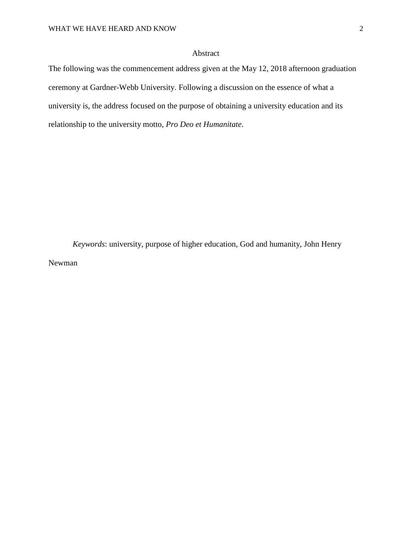### Abstract

The following was the commencement address given at the May 12, 2018 afternoon graduation ceremony at Gardner-Webb University. Following a discussion on the essence of what a university is, the address focused on the purpose of obtaining a university education and its relationship to the university motto, *Pro Deo et Humanitate*.

*Keywords*: university, purpose of higher education, God and humanity, John Henry Newman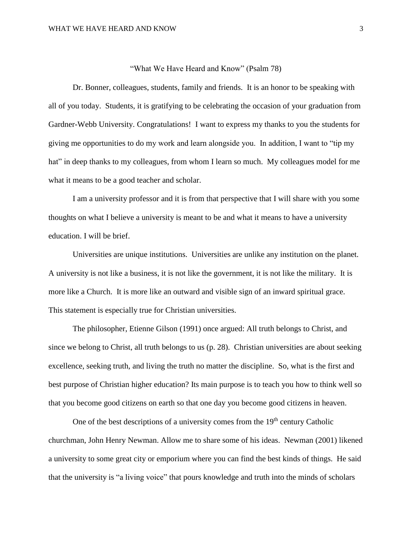#### "What We Have Heard and Know" (Psalm 78)

Dr. Bonner, colleagues, students, family and friends. It is an honor to be speaking with all of you today. Students, it is gratifying to be celebrating the occasion of your graduation from Gardner-Webb University. Congratulations! I want to express my thanks to you the students for giving me opportunities to do my work and learn alongside you. In addition, I want to "tip my hat" in deep thanks to my colleagues, from whom I learn so much. My colleagues model for me what it means to be a good teacher and scholar.

I am a university professor and it is from that perspective that I will share with you some thoughts on what I believe a university is meant to be and what it means to have a university education. I will be brief.

Universities are unique institutions. Universities are unlike any institution on the planet. A university is not like a business, it is not like the government, it is not like the military. It is more like a Church. It is more like an outward and visible sign of an inward spiritual grace. This statement is especially true for Christian universities.

The philosopher, Etienne Gilson (1991) once argued: All truth belongs to Christ, and since we belong to Christ, all truth belongs to us (p. 28). Christian universities are about seeking excellence, seeking truth, and living the truth no matter the discipline. So, what is the first and best purpose of Christian higher education? Its main purpose is to teach you how to think well so that you become good citizens on earth so that one day you become good citizens in heaven.

One of the best descriptions of a university comes from the 19<sup>th</sup> century Catholic churchman, John Henry Newman. Allow me to share some of his ideas. Newman (2001) likened a university to some great city or emporium where you can find the best kinds of things. He said that the university is "a living voice" that pours knowledge and truth into the minds of scholars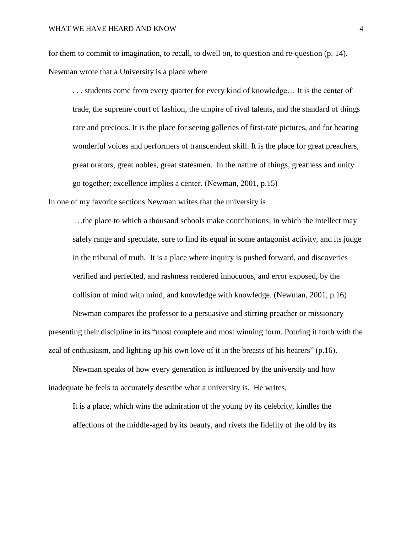for them to commit to imagination, to recall, to dwell on, to question and re-question (p. 14). Newman wrote that a University is a place where

. . . students come from every quarter for every kind of knowledge… It is the center of trade, the supreme court of fashion, the umpire of rival talents, and the standard of things rare and precious. It is the place for seeing galleries of first-rate pictures, and for hearing wonderful voices and performers of transcendent skill. It is the place for great preachers, great orators, great nobles, great statesmen. In the nature of things, greatness and unity go together; excellence implies a center. (Newman, 2001, p.15)

In one of my favorite sections Newman writes that the university is

…the place to which a thousand schools make contributions; in which the intellect may safely range and speculate, sure to find its equal in some antagonist activity, and its judge in the tribunal of truth. It is a place where inquiry is pushed forward, and discoveries verified and perfected, and rashness rendered innocuous, and error exposed, by the collision of mind with mind, and knowledge with knowledge. (Newman, 2001, p.16)

Newman compares the professor to a persuasive and stirring preacher or missionary presenting their discipline in its "most complete and most winning form. Pouring it forth with the zeal of enthusiasm, and lighting up his own love of it in the breasts of his hearers" (p.16).

Newman speaks of how every generation is influenced by the university and how inadequate he feels to accurately describe what a university is. He writes,

It is a place, which wins the admiration of the young by its celebrity, kindles the affections of the middle-aged by its beauty, and rivets the fidelity of the old by its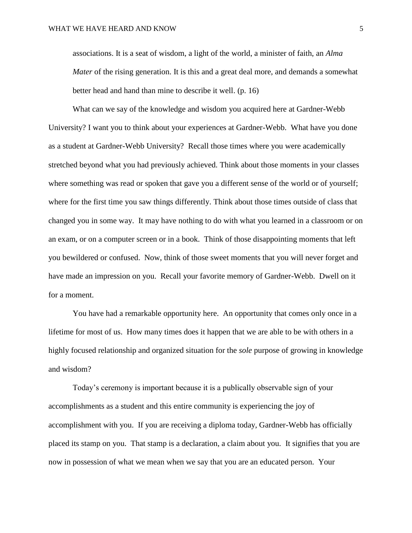associations. It is a seat of wisdom, a light of the world, a minister of faith, an *Alma Mater* of the rising generation. It is this and a great deal more, and demands a somewhat better head and hand than mine to describe it well. (p. 16)

What can we say of the knowledge and wisdom you acquired here at Gardner-Webb University? I want you to think about your experiences at Gardner-Webb. What have you done as a student at Gardner-Webb University? Recall those times where you were academically stretched beyond what you had previously achieved. Think about those moments in your classes where something was read or spoken that gave you a different sense of the world or of yourself; where for the first time you saw things differently. Think about those times outside of class that changed you in some way. It may have nothing to do with what you learned in a classroom or on an exam, or on a computer screen or in a book. Think of those disappointing moments that left you bewildered or confused. Now, think of those sweet moments that you will never forget and have made an impression on you. Recall your favorite memory of Gardner-Webb. Dwell on it for a moment.

You have had a remarkable opportunity here. An opportunity that comes only once in a lifetime for most of us. How many times does it happen that we are able to be with others in a highly focused relationship and organized situation for the *sole* purpose of growing in knowledge and wisdom?

Today's ceremony is important because it is a publically observable sign of your accomplishments as a student and this entire community is experiencing the joy of accomplishment with you. If you are receiving a diploma today, Gardner-Webb has officially placed its stamp on you. That stamp is a declaration, a claim about you. It signifies that you are now in possession of what we mean when we say that you are an educated person. Your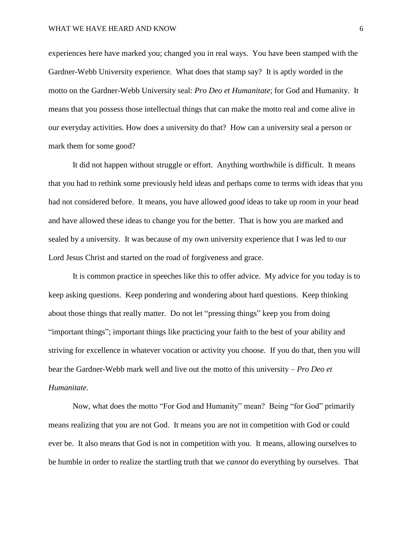experiences here have marked you; changed you in real ways. You have been stamped with the Gardner-Webb University experience. What does that stamp say? It is aptly worded in the motto on the Gardner-Webb University seal: *Pro Deo et Humanitate*; for God and Humanity. It means that you possess those intellectual things that can make the motto real and come alive in our everyday activities. How does a university do that? How can a university seal a person or mark them for some good?

It did not happen without struggle or effort. Anything worthwhile is difficult. It means that you had to rethink some previously held ideas and perhaps come to terms with ideas that you had not considered before. It means, you have allowed *good* ideas to take up room in your head and have allowed these ideas to change you for the better. That is how you are marked and sealed by a university. It was because of my own university experience that I was led to our Lord Jesus Christ and started on the road of forgiveness and grace.

It is common practice in speeches like this to offer advice. My advice for you today is to keep asking questions. Keep pondering and wondering about hard questions. Keep thinking about those things that really matter. Do not let "pressing things" keep you from doing "important things"; important things like practicing your faith to the best of your ability and striving for excellence in whatever vocation or activity you choose. If you do that, then you will bear the Gardner-Webb mark well and live out the motto of this university – *Pro Deo et Humanitate*.

Now, what does the motto "For God and Humanity" mean? Being "for God" primarily means realizing that you are not God. It means you are not in competition with God or could ever be. It also means that God is not in competition with you. It means, allowing ourselves to be humble in order to realize the startling truth that we *cannot* do everything by ourselves. That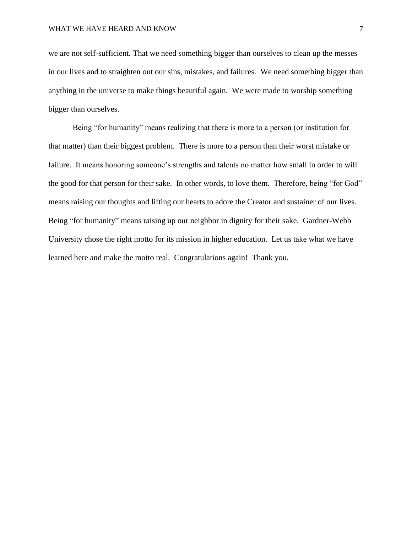we are not self-sufficient. That we need something bigger than ourselves to clean up the messes in our lives and to straighten out our sins, mistakes, and failures. We need something bigger than anything in the universe to make things beautiful again. We were made to worship something bigger than ourselves.

Being "for humanity" means realizing that there is more to a person (or institution for that matter) than their biggest problem. There is more to a person than their worst mistake or failure. It means honoring someone's strengths and talents no matter how small in order to will the good for that person for their sake. In other words, to love them. Therefore, being "for God" means raising our thoughts and lifting our hearts to adore the Creator and sustainer of our lives. Being "for humanity" means raising up our neighbor in dignity for their sake. Gardner-Webb University chose the right motto for its mission in higher education. Let us take what we have learned here and make the motto real. Congratulations again! Thank you.